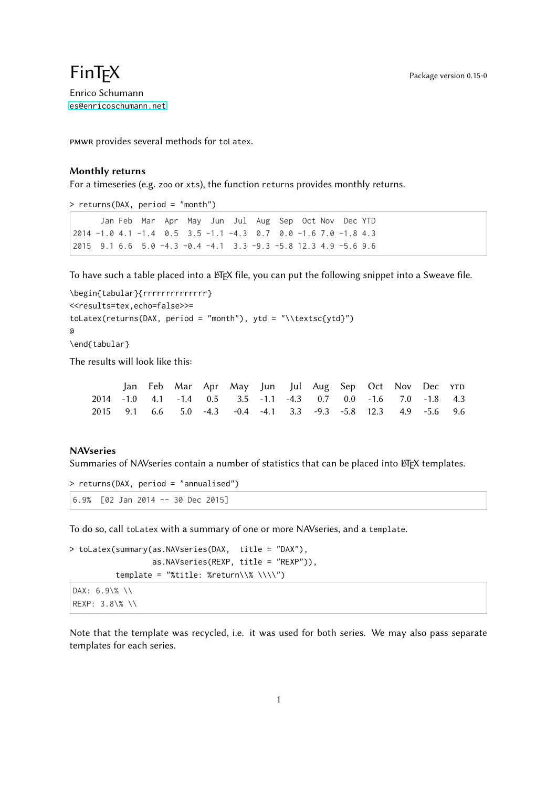## $\mathsf{Fin}\mathsf{TEX}$  Package version 0.15-0 Enrico Schumann

<es@enricoschumann.net>

pmwr provides several methods for toLatex.

## Monthly returns

For a timeseries (e.g. zoo or xts), the function returns provides monthly returns.

> returns(DAX, period = "month")

```
Jan Feb Mar Apr May Jun Jul Aug Sep Oct Nov Dec YTD
2014 -1.0 4.1 -1.4 0.5 3.5 -1.1 -4.3 0.7 0.0 -1.6 7.0 -1.8 4.3
2015 9.1 6.6 5.0 -4.3 -0.4 -4.1 3.3 -9.3 -5.8 12.3 4.9 -5.6 9.6
```
To have such a table placed into a ETEX file, you can put the following snippet into a Sweave file.

```
\begin{tabular}{rrrrrrrrrrrrrr}
<<results=tex,echo=false>>=
toLatex(returns(DAX, period = "month"), ytd = "\\textsc{ytd}")
@
\end{tabular}
```
The results will look like this:

|  |  | Jan Feb Mar Apr May Jun Jul Aug Sep Oct Nov Dec YTD             |  |  |  |  |
|--|--|-----------------------------------------------------------------|--|--|--|--|
|  |  | 2014 -1.0 4.1 -1.4 0.5 3.5 -1.1 -4.3 0.7 0.0 -1.6 7.0 -1.8 4.3  |  |  |  |  |
|  |  | 2015 9.1 6.6 5.0 -4.3 -0.4 -4.1 3.3 -9.3 -5.8 12.3 4.9 -5.6 9.6 |  |  |  |  |

## **NAVseries**

Summaries of NAVseries contain a number of statistics that can be placed into LATEX templates.

```
> returns(DAX, period = "annualised")
6.9% [02 Jan 2014 -- 30 Dec 2015]
```
To do so, call toLatex with a summary of one or more NAVseries, and a template.

```
> toLatex(summary(as.NAVseries(DAX, title = "DAX"),
                  as.NAVseries(REXP, title = "REXP")),
          template = "%title: %return\\% \\\\")
```

```
DAX: 6.9\% \\
REXP: 3.8\% \\
```
Note that the template was recycled, i.e. it was used for both series. We may also pass separate templates for each series.